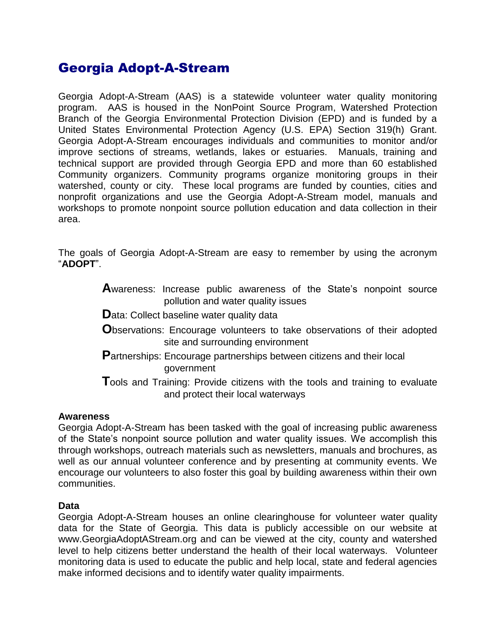# Georgia Adopt-A-Stream

Georgia Adopt-A-Stream (AAS) is a statewide volunteer water quality monitoring program. AAS is housed in the NonPoint Source Program, Watershed Protection Branch of the Georgia Environmental Protection Division (EPD) and is funded by a United States Environmental Protection Agency (U.S. EPA) Section 319(h) Grant. Georgia Adopt-A-Stream encourages individuals and communities to monitor and/or improve sections of streams, wetlands, lakes or estuaries. Manuals, training and technical support are provided through Georgia EPD and more than 60 established Community organizers. Community programs organize monitoring groups in their watershed, county or city. These local programs are funded by counties, cities and nonprofit organizations and use the Georgia Adopt-A-Stream model, manuals and workshops to promote nonpoint source pollution education and data collection in their area.

The goals of Georgia Adopt-A-Stream are easy to remember by using the acronym "**ADOPT**".

- **A**wareness: Increase public awareness of the State's nonpoint source pollution and water quality issues
- **D**ata: Collect baseline water quality data
- **O**bservations: Encourage volunteers to take observations of their adopted site and surrounding environment
- **P**artnerships: Encourage partnerships between citizens and their local government
- **T**ools and Training: Provide citizens with the tools and training to evaluate and protect their local waterways

#### **Awareness**

Georgia Adopt-A-Stream has been tasked with the goal of increasing public awareness of the State's nonpoint source pollution and water quality issues. We accomplish this through workshops, outreach materials such as newsletters, manuals and brochures, as well as our annual volunteer conference and by presenting at community events. We encourage our volunteers to also foster this goal by building awareness within their own communities.

#### **Data**

Georgia Adopt-A-Stream houses an online clearinghouse for volunteer water quality data for the State of Georgia. This data is publicly accessible on our website at www.GeorgiaAdoptAStream.org and can be viewed at the city, county and watershed level to help citizens better understand the health of their local waterways. Volunteer monitoring data is used to educate the public and help local, state and federal agencies make informed decisions and to identify water quality impairments.